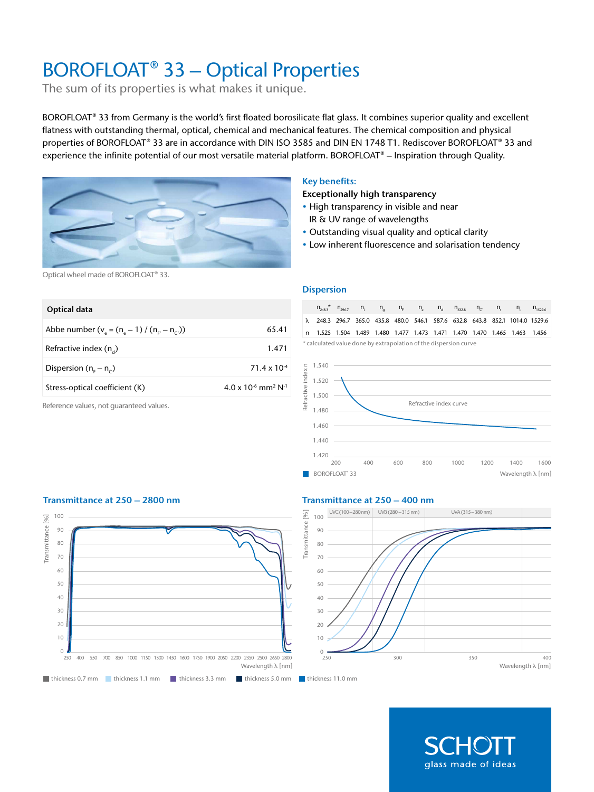# BOROFLOAT® 33 – Optical Properties

The sum of its properties is what makes it unique.

BOROFLOAT® 33 from Germany is the world's first floated borosilicate flat glass. It combines superior quality and excellent flatness with outstanding thermal, optical, chemical and mechanical features. The chemical composition and physical properties of BOROFLOAT® 33 are in accordance with DIN ISO 3585 and DIN EN 1748 T1. Rediscover BOROFLOAT® 33 and experience the infinite potential of our most versatile material platform. BOROFLOAT® – Inspiration through Quality.



# Key benefits:

Exceptionally high transparency

- High transparency in visible and near IR & UV range of wavelengths
- Outstanding visual quality and optical clarity
- Low inherent fluorescence and solarisation tendency

Optical wheel made of BOROFLOAT® 33.

| Optical data                                      |                                                      |
|---------------------------------------------------|------------------------------------------------------|
| Abbe number $(v_a = (n_a - 1) / (n_{F} - n_{C}))$ | 65.41                                                |
| Refractive index $(n_*)$                          | 1.471                                                |
| Dispersion ( $n_c - n_c$ )                        | $71.4 \times 10^{-4}$                                |
| Stress-optical coefficient (K)                    | $4.0 \times 10^{-6}$ mm <sup>2</sup> N <sup>-1</sup> |
|                                                   |                                                      |

Reference values, not guaranteed values.

#### **Dispersion**

 $n_{248.3}$  n<sub>i</sub> n<sub>g</sub> n<sub>F'</sub> n<sub>e</sub> n<sub>d</sub> n<sub>632.8</sub> n<sub>c</sub>' n<sub>s</sub> n<sub>t</sub> n<sub>1529.6</sub> λ 248.3 296.7 365.0 435.8 480.0 546.1 587.6 632.8 643.8 852.1 1014.0 1529.6 n 1.525 1.504 1.489 1.480 1.477 1.473 1.471 1.470 1.470 1.465 1.463 1.456 \* calculated value done by extrapolation of the dispersion curve







# Transmittance at 250 – 2800 nm Transmittance at 250 – 400 nm